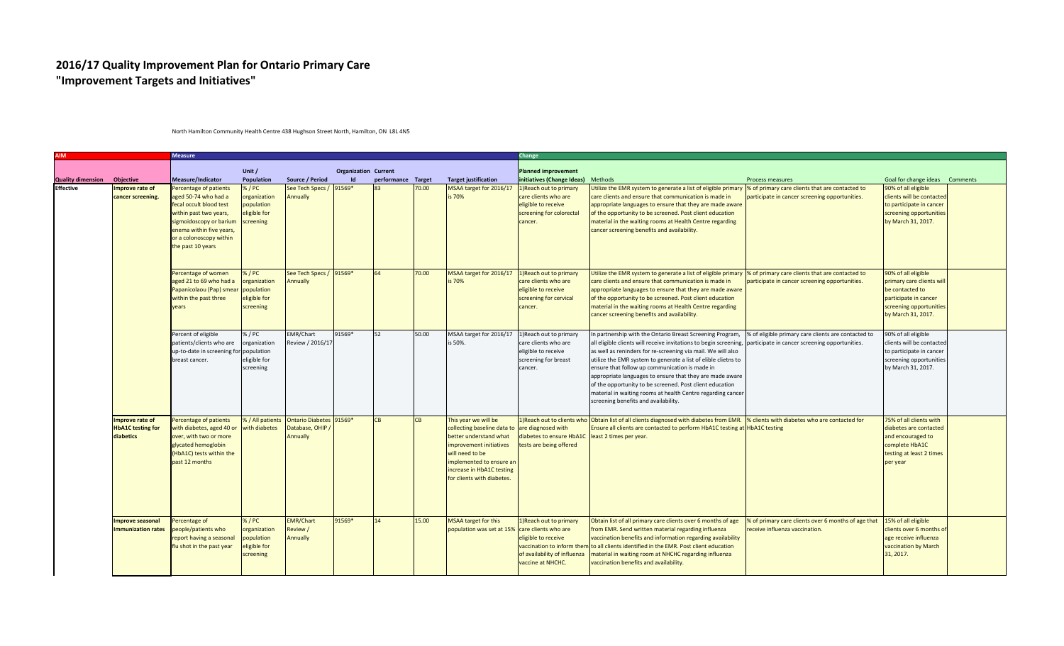## **2016/17 Quality Improvement Plan for Ontario Primary Care "Improvement Targets and Initiatives"**

## **AIM Measure Change Quality dimension Objective Measure/Indicator Unit / Population Source / Period Organization Current Id performance Target Target justification Planned improvement initiatives (Change Ideas)** Methods **Process measures** Brocess measures Goal for change ideas Comments 1)Reach out to primary care clients who are eligible to receive screening for colorectal cancer. Utilize the EMR system to generate a list of eligible primary care clients and ensure that communication is made in appropriate languages to ensure that they are made aware of the opportunity to be screened. Post client education material in the waiting rooms at Health Centre regarding cancer screening benefits and availability. % of primary care clients that are contacted to articipate in cancer screening opportunities. 90% of all eligible clients will be contacted to participate in cancer screening opportunities by March 31, 2017. 1)Reach out to primary 91569\* 64 70.00 MSAA target for 2016/17 care clients who are eligible to receive screening for cervical cancer. Utilize the EMR system to generate a list of eligible primary |% of primary care clients that are contacted to care clients and ensure that communication is made in appropriate languages to ensure that they are made aware of the opportunity to be screened. Post client education material in the waiting rooms at Health Centre regarding cancer screening benefits and availability. participate in cancer screening opportunities. 90% of all eligible primary care clients will be contacted to participate in cancer screening opportunities by March 31, 2017. 1)Reach out to primary care clients who are eligible to receive screening for breast cancer. n partnership with the Ontario Breast Screening Program. all eligible clients will receive invitations to begin screening, as well as reninders for re-screening via mail. We will also utilize the EMR system to generate a list of elible clietns to ensure that follow up communication is made in appropriate languages to ensure that they are made aware of the opportunity to be screened. Post client education material in waiting rooms at health Centre regarding cance screening benefits and availability. % of eligible primary care clients are contacted to participate in cancer screening opportunities. 90% of all eligible clients will be contacted to participate in cancer screening opportunities by March 31, 2017. 1)Reach out to clients who are diagnosed with diabetes to ensure HbA1C tests are being offered Obtain list of all clients diagnosed with diabetes from EMR. Ensure all clients are contacted to perform HbA1C testing at HbA1C testing least 2 times per year. % clients with diabetes who are contacted for 75% of all clients with diabetes are contacted and encouraged to complete HbA1C testing at least 2 times per year 1)Reach out to primary care clients who are eligible to receive vaccination to inform then of availability of influenza vaccine at NHCHC. Obtain list of all primary care clients over 6 months of age rom EMR. Send written material regarding influenza accination benefits and information regarding availability to all clients identified in the EMR. Post client education material in waiting room at NHCHC regarding influenza accination benefits and availability. % of primary care clients over 6 months of age that 15% of all eligible eceive influenza vaccination. lients over 6 months of age receive influenza vaccination by March 31, 2017. **Effective** 15.00 MSAA target for this population was set at 15% **Improve seasonal Immunization rates** ercentage of eople/patients who report having a seasonal flu shot in the past year  $5/PC$ rganization population ligible for creening EMR/Chart eview / Annually 91569\* 14 50.00 MSAA target for 2016/17 is 50%. **Improve rate of cancer screening.** Percentage of patients with diabetes, aged 40 or over, with two or more glycated hemoglobin (HbA1C) tests within the past 12 months % / All patients Ontario Diabetes with diabetes Database, OHIP / Annually  $\overline{CB}$  CB This year we will be collecting baseline data to better understand what improvement initiatives will need to be implemented to ensure a increase in HbA1C testing for clients with diabetes. **Improve rate of HbA1C testing for diabetics** Percent of eligible patients/clients who are up-to-date in screening for population breast cancer. % / PC organization eligible for screening EMR/Chart Review / 2016/17 91569\* 52 70.00 MSAA target for 2016/17 is 70% Percentage of women aged 21 to 69 who had a Papanicolaou (Pap) smear within the past three years % / PC organization population eligible for screening See Tech Specs / 91569\* Annually is 70% Percentage of patients aged 50-74 who had a fecal occult blood test within past two years, sigmoidoscopy or barium enema within five years, or a colonoscopy within the past 10 years % / PC organization population eligible for screening See Tech Specs / Annually  $1569*$

North Hamilton Community Health Centre 438 Hughson Street North, Hamilton, ON L8L 4N5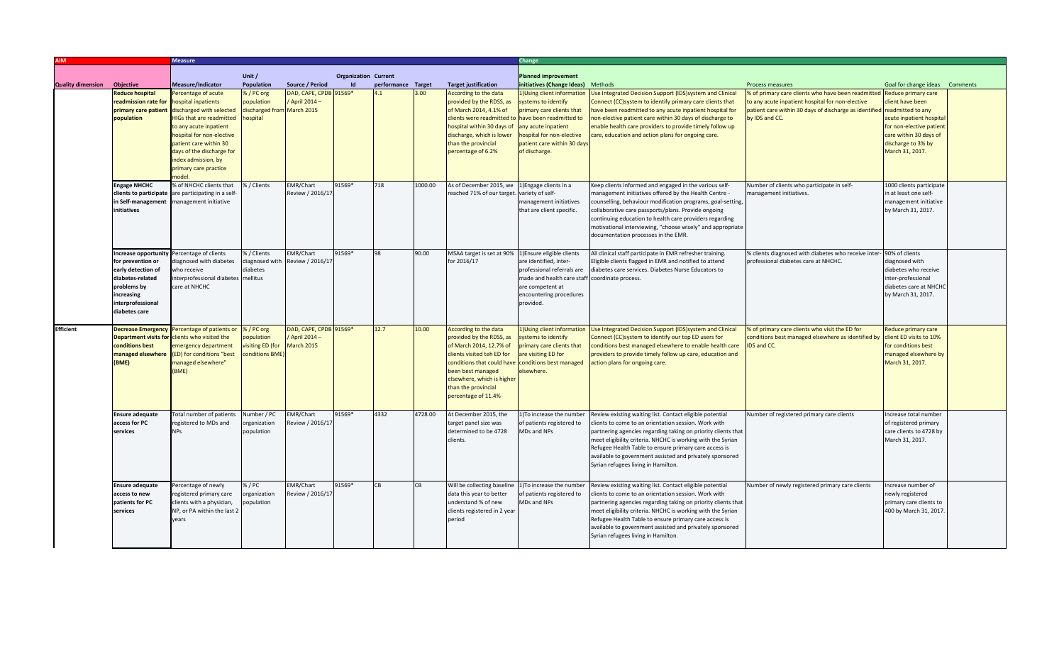|                          |                              | <b>Measure</b>                     |                            |                        |                             |                    |         |                                                    | Change                                         |                                                                                                 |                                                                            |                                |  |  |
|--------------------------|------------------------------|------------------------------------|----------------------------|------------------------|-----------------------------|--------------------|---------|----------------------------------------------------|------------------------------------------------|-------------------------------------------------------------------------------------------------|----------------------------------------------------------------------------|--------------------------------|--|--|
|                          |                              |                                    |                            |                        |                             |                    |         |                                                    |                                                |                                                                                                 |                                                                            |                                |  |  |
|                          |                              |                                    | Unit /                     |                        | <b>Organization Current</b> |                    |         |                                                    | <b>Planned improvement</b>                     |                                                                                                 |                                                                            |                                |  |  |
| <b>Quality dimension</b> | Objective                    | <b>Measure/Indicator</b>           | <b>Population</b>          | Source / Period        |                             | performance Target |         | <b>Target justification</b>                        | initiatives (Change Ideas) Methods             |                                                                                                 | <b>Process measures</b>                                                    | Goal for change ideas Comments |  |  |
|                          | <b>Reduce hospital</b>       | Percentage of acute                | % / PC org                 | DAD, CAPE, CPDB 91569* |                             | 4.1                | 3.00    | According to the data                              | 1) Using client information                    | Use Integrated Decision Support (IDS)system and Clinical                                        | % of primary care clients who have been readmitted Reduce primary care     |                                |  |  |
|                          | readmission rate for         | hospital inpatients                | population                 | April $2014-$          |                             |                    |         | provided by the RDSS, as                           | systems to identify                            | Connect (CC)system to identify primary care clients that                                        | to any acute inpatient hospital for non-elective                           | client have been               |  |  |
|                          | primary care patient         | discharged with selected           | discharged from March 2015 |                        |                             |                    |         | of March 2014, 4.1% of                             | primary care clients that                      | have been readmitted to any acute inpatient hospital for                                        | patient care within 30 days of discharge as identified readmitted to any   |                                |  |  |
|                          | population                   | <b>HIGs that are readmitted</b>    | hospital                   |                        |                             |                    |         | clients were readmitted to have been readmitted to |                                                | on-elective patient care within 30 days of discharge to                                         | by IDS and CC.                                                             | acute inpatient hospital       |  |  |
|                          |                              | to any acute inpatient             |                            |                        |                             |                    |         | hospital within 30 days of                         | any acute inpatient                            | enable health care providers to provide timely follow up                                        |                                                                            | for non-elective patient       |  |  |
|                          |                              | hospital for non-elective          |                            |                        |                             |                    |         | discharge, which is lower                          | hospital for non-elective                      | care, education and action plans for ongoing care.                                              |                                                                            | care within 30 days of         |  |  |
|                          |                              | patient care within 30             |                            |                        |                             |                    |         | than the provincial                                | patient care within 30 days                    |                                                                                                 |                                                                            | discharge to 3% by             |  |  |
|                          |                              | days of the discharge for          |                            |                        |                             |                    |         | percentage of 6.2%                                 | of discharge.                                  |                                                                                                 |                                                                            | March 31, 2017.                |  |  |
|                          |                              | index admission, by                |                            |                        |                             |                    |         |                                                    |                                                |                                                                                                 |                                                                            |                                |  |  |
|                          |                              | primary care practice              |                            |                        |                             |                    |         |                                                    |                                                |                                                                                                 |                                                                            |                                |  |  |
|                          |                              | nodel.                             |                            |                        |                             |                    |         |                                                    |                                                |                                                                                                 |                                                                            |                                |  |  |
|                          | <b>Engage NHCHC</b>          | % of NHCHC clients that            | % / Clients                | EMR/Chart              | 91569*                      | 718                | 1000.00 | As of December 2015, we                            | 1) Engage clients in a                         | Keep clients informed and engaged in the various self-                                          | Number of clients who participate in self-                                 | 1000 clients participate       |  |  |
|                          | clients to participate       | are participating in a self-       |                            | Review / 2016/17       |                             |                    |         | reached 71% of our target                          | variety of self-                               | management initiatives offered by the Health Centre -                                           | management initiatives.                                                    | in at least one self-          |  |  |
|                          | in Self-management           | management initiative              |                            |                        |                             |                    |         |                                                    | management initiatives                         | counselling, behaviour modification programs, goal-setting,                                     |                                                                            | management initiative          |  |  |
|                          | initiatives                  |                                    |                            |                        |                             |                    |         |                                                    | that are client specific.                      | collaborative care passports/plans. Provide ongoing                                             |                                                                            | by March 31, 2017.             |  |  |
|                          |                              |                                    |                            |                        |                             |                    |         |                                                    |                                                | continuing education to health care providers regarding                                         |                                                                            |                                |  |  |
|                          |                              |                                    |                            |                        |                             |                    |         |                                                    |                                                | motivational interviewing, "choose wisely" and appropriate                                      |                                                                            |                                |  |  |
|                          |                              |                                    |                            |                        |                             |                    |         |                                                    |                                                | documentation processes in the EMR.                                                             |                                                                            |                                |  |  |
|                          |                              |                                    |                            |                        |                             |                    |         |                                                    |                                                |                                                                                                 |                                                                            |                                |  |  |
|                          | Increase opportunity         | Percentage of clients              | % / Clients                | EMR/Chart              | 91569*                      | 98                 | 90.00   | MSAA target is set at 90%                          | 1) Ensure eligible clients                     | All clinical staff participate in EMR refresher training.                                       | % clients diagnosed with diabetes who receive inter- 90% of clients        |                                |  |  |
|                          | for prevention or            | diagnosed with diabetes            | diagnosed with             | Review / 2016/17       |                             |                    |         | for 2016/17                                        | are identified, inter-                         | Eligible clients flagged in EMR and notified to attend                                          | professional diabetes care at NHCHC.                                       | diagnosed with                 |  |  |
|                          | early detection of           | who receive                        | diabetes                   |                        |                             |                    |         |                                                    | professional referrals are                     | diabetes care services. Diabetes Nurse Educators to                                             |                                                                            | diabetes who receive           |  |  |
|                          | diabetes-related             | nterprofessional diabetes mellitus |                            |                        |                             |                    |         |                                                    | made and health care staff coordinate process. |                                                                                                 |                                                                            | inter-professional             |  |  |
|                          | problems by                  | care at NHCHC                      |                            |                        |                             |                    |         |                                                    | are competent at                               |                                                                                                 |                                                                            | diabetes care at NHCHC         |  |  |
|                          | increasing                   |                                    |                            |                        |                             |                    |         |                                                    | encountering procedures                        |                                                                                                 |                                                                            | by March 31, 2017.             |  |  |
|                          | interprofessional            |                                    |                            |                        |                             |                    |         |                                                    | provided.                                      |                                                                                                 |                                                                            |                                |  |  |
|                          | diabetes care                |                                    |                            |                        |                             |                    |         |                                                    |                                                |                                                                                                 |                                                                            |                                |  |  |
|                          |                              |                                    |                            |                        |                             |                    |         |                                                    |                                                |                                                                                                 |                                                                            |                                |  |  |
| <b>Efficient</b>         | <b>Decrease Emergency</b>    | Percentage of patients or          | %/PC org                   | DAD, CAPE, CPDB 91569* |                             | 12.7               | 10.00   | According to the data                              | 1) Using client information                    | Use Integrated Decision Support (IDS)system and Clinical                                        | % of primary care clients who visit the ED for                             | Reduce primary care            |  |  |
|                          | <b>Department visits for</b> | clients who visited the            | population                 | April 2014-            |                             |                    |         | provided by the RDSS, as                           | systems to identify                            | Connect (CC)system to identify our top ED users for                                             | conditions best managed elsewhere as identified by client ED visits to 10% |                                |  |  |
|                          | conditions best              | emergency department               | visiting ED (for           | <b>March 2015</b>      |                             |                    |         | of March 2014, 12.7% of                            | primary care clients that                      | conditions best managed elsewhere to enable health care                                         | IDS and CC.                                                                | for conditions best            |  |  |
|                          | managed elsewhere            | (ED) for conditions "best          | conditions BME             |                        |                             |                    |         | clients visited teh ED for                         | are visiting ED for                            | providers to provide timely follow up care, education and                                       |                                                                            | managed elsewhere by           |  |  |
|                          | (BME)                        | managed elsewhere"                 |                            |                        |                             |                    |         | conditions that could have                         | conditions best managed                        | action plans for ongoing care.                                                                  |                                                                            | March 31, 2017.                |  |  |
|                          |                              | (BME)                              |                            |                        |                             |                    |         | been best managed                                  | elsewhere.                                     |                                                                                                 |                                                                            |                                |  |  |
|                          |                              |                                    |                            |                        |                             |                    |         | elsewhere, which is higher                         |                                                |                                                                                                 |                                                                            |                                |  |  |
|                          |                              |                                    |                            |                        |                             |                    |         | than the provincial                                |                                                |                                                                                                 |                                                                            |                                |  |  |
|                          |                              |                                    |                            |                        |                             |                    |         | percentage of 11.4%                                |                                                |                                                                                                 |                                                                            |                                |  |  |
|                          |                              |                                    |                            |                        |                             |                    |         |                                                    |                                                |                                                                                                 |                                                                            |                                |  |  |
|                          | <b>Ensure adequate</b>       | Total number of patients           | Number / PC                | EMR/Chart              | 91569*                      | 4332               | 4728.00 | At December 2015, the                              | 1) To increase the number                      | Review existing waiting list. Contact eligible potential                                        | Number of registered primary care clients                                  | Increase total number          |  |  |
|                          | access for PC                | registered to MDs and              | organization               | Review / 2016/17       |                             |                    |         | target panel size was                              | of patients registered to                      | lients to come to an orientation session. Work with                                             |                                                                            | of registered primary          |  |  |
|                          | services                     | NP <sub>S</sub>                    | population                 |                        |                             |                    |         | determined to be 4728                              | MDs and NPs                                    | partnering agencies regarding taking on priority clients that                                   |                                                                            | care clients to 4728 by        |  |  |
|                          |                              |                                    |                            |                        |                             |                    |         | clients.                                           |                                                | meet eligibility criteria. NHCHC is working with the Syrian                                     |                                                                            | March 31, 2017.                |  |  |
|                          |                              |                                    |                            |                        |                             |                    |         |                                                    |                                                | Refugee Health Table to ensure primary care access is                                           |                                                                            |                                |  |  |
|                          |                              |                                    |                            |                        |                             |                    |         |                                                    |                                                |                                                                                                 |                                                                            |                                |  |  |
|                          |                              |                                    |                            |                        |                             |                    |         |                                                    |                                                | available to government assisted and privately sponsored<br>Syrian refugees living in Hamilton. |                                                                            |                                |  |  |
|                          |                              |                                    |                            |                        |                             |                    |         |                                                    |                                                |                                                                                                 |                                                                            |                                |  |  |
|                          |                              |                                    |                            |                        |                             |                    |         |                                                    |                                                |                                                                                                 |                                                                            |                                |  |  |
|                          | <b>Ensure adequate</b>       | Percentage of newly                | % / PC                     | EMR/Chart              | 91569*                      | CB                 | CB      | Will be collecting baseline                        | 1) To increase the number                      | Review existing waiting list. Contact eligible potential                                        | Number of newly registered primary care clients                            | Increase number of             |  |  |
|                          | access to new                | registered primary care            | organization               | Review / 2016/17       |                             |                    |         | data this year to better                           | of patients registered to                      | lients to come to an orientation session. Work with                                             |                                                                            | newly registered               |  |  |
|                          | patients for PC              | clients with a physician,          | population                 |                        |                             |                    |         | understand % of new                                | MDs and NPs                                    | partnering agencies regarding taking on priority clients that                                   |                                                                            | primary care clients to        |  |  |
|                          | services                     | NP, or PA within the last 2        |                            |                        |                             |                    |         | clients registered in 2 year                       |                                                | meet eligibility criteria. NHCHC is working with the Syrian                                     |                                                                            | 400 by March 31, 2017.         |  |  |
|                          |                              | vears                              |                            |                        |                             |                    |         | period                                             |                                                | Refugee Health Table to ensure primary care access is                                           |                                                                            |                                |  |  |
|                          |                              |                                    |                            |                        |                             |                    |         |                                                    |                                                | available to government assisted and privately sponsored                                        |                                                                            |                                |  |  |
|                          |                              |                                    |                            |                        |                             |                    |         |                                                    |                                                | Syrian refugees living in Hamilton.                                                             |                                                                            |                                |  |  |
|                          |                              |                                    |                            |                        |                             |                    |         |                                                    |                                                |                                                                                                 |                                                                            |                                |  |  |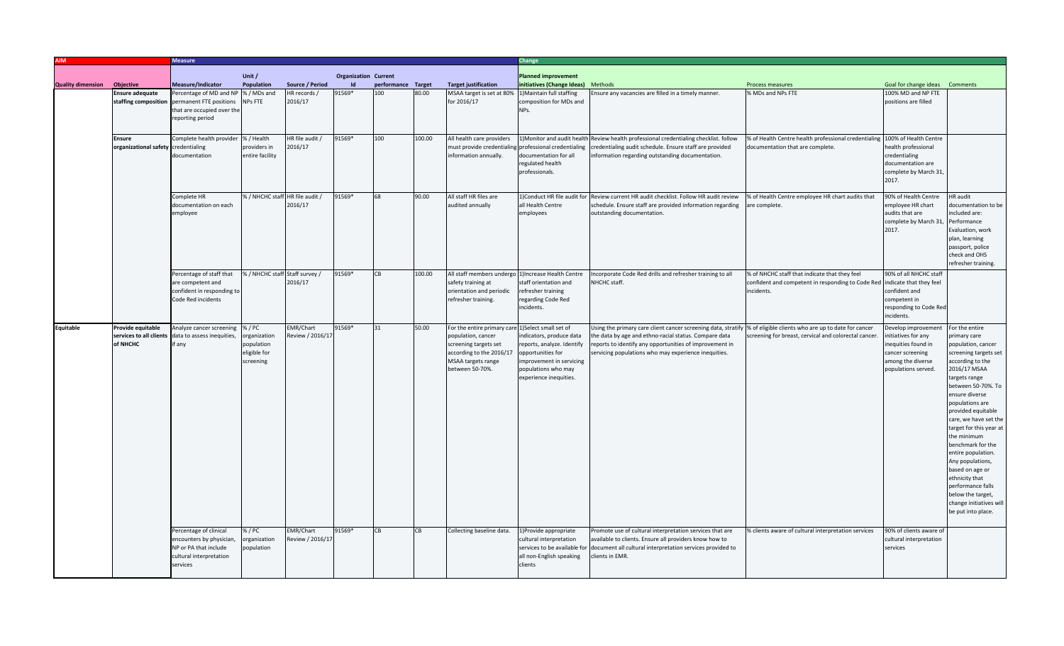|                          |                                     | <b>Measure</b>                               |                                |                  |                             |                    |        |                                                   | Change                      |                                                                                                                    |                                                                            |                                |                         |
|--------------------------|-------------------------------------|----------------------------------------------|--------------------------------|------------------|-----------------------------|--------------------|--------|---------------------------------------------------|-----------------------------|--------------------------------------------------------------------------------------------------------------------|----------------------------------------------------------------------------|--------------------------------|-------------------------|
|                          |                                     |                                              | Unit /                         |                  | <b>Organization Current</b> |                    |        |                                                   | <b>Planned improvement</b>  |                                                                                                                    |                                                                            |                                |                         |
| <b>Quality dimension</b> | <b>Objective</b>                    | Measure/Indicator                            | Population                     | Source / Period  | $\mathsf{Id}$               | performance Target |        | <b>Target justification</b>                       | initiatives (Change Ideas)  | Methods                                                                                                            | Process measures                                                           | Goal for change ideas Comments |                         |
|                          | <b>Ensure adequate</b>              | Percentage of MD and NP                      | % / MDs and                    | HR records /     | 91569*                      | 100                | 80.00  | MSAA target is set at 80%                         | 1) Maintain full staffing   | nsure any vacancies are filled in a timely manner.                                                                 | % MDs and NPs FTE                                                          | 100% MD and NP FTE             |                         |
|                          |                                     | staffing composition permanent FTE positions | NPs FTE                        | 2016/17          |                             |                    |        | for 2016/17                                       | composition for MDs and     |                                                                                                                    |                                                                            | positions are filled           |                         |
|                          |                                     | that are occupied over the                   |                                |                  |                             |                    |        |                                                   | NPs.                        |                                                                                                                    |                                                                            |                                |                         |
|                          |                                     |                                              |                                |                  |                             |                    |        |                                                   |                             |                                                                                                                    |                                                                            |                                |                         |
|                          |                                     | reporting period                             |                                |                  |                             |                    |        |                                                   |                             |                                                                                                                    |                                                                            |                                |                         |
|                          |                                     |                                              |                                |                  |                             |                    |        |                                                   |                             |                                                                                                                    |                                                                            |                                |                         |
|                          | <b>Ensure</b>                       | Complete health provider                     | % / Health                     | HR file audit /  | 91569*                      | 100                | 100.00 | All health care providers                         |                             | 1) Monitor and audit health Review health professional credentialing checklist. follow                             | % of Health Centre health professional credentialing 100% of Health Centre |                                |                         |
|                          | organizational safety credentialing |                                              | providers in                   | 2016/17          |                             |                    |        | must provide credentialin                         | professional credentialing  | credentialing audit schedule. Ensure staff are provided                                                            | documentation that are complete.                                           | health professional            |                         |
|                          |                                     | documentation                                | entire facility                |                  |                             |                    |        | information annually.                             | documentation for all       | information regarding outstanding documentation.                                                                   |                                                                            | credentialing                  |                         |
|                          |                                     |                                              |                                |                  |                             |                    |        |                                                   | regulated health            |                                                                                                                    |                                                                            | documentation are              |                         |
|                          |                                     |                                              |                                |                  |                             |                    |        |                                                   |                             |                                                                                                                    |                                                                            |                                |                         |
|                          |                                     |                                              |                                |                  |                             |                    |        |                                                   | professionals.              |                                                                                                                    |                                                                            | complete by March 31           |                         |
|                          |                                     |                                              |                                |                  |                             |                    |        |                                                   |                             |                                                                                                                    |                                                                            | 2017.                          |                         |
|                          |                                     |                                              |                                |                  |                             |                    |        |                                                   |                             |                                                                                                                    |                                                                            |                                |                         |
|                          |                                     | Complete HR                                  | 6 / NHCHC staff HR file audit  |                  | 91569*                      |                    | 90.00  | All staff HR files are                            | 1)Conduct HR file audit for | Review current HR audit checklist. Follow HR audit review                                                          | % of Health Centre employee HR chart audits that                           | 90% of Health Centre           | <b>HR</b> audit         |
|                          |                                     | documentation on each                        |                                | 2016/17          |                             |                    |        | audited annually                                  | all Health Centre           | schedule. Ensure staff are provided information regarding                                                          | are complete.                                                              | employee HR chart              | ocumentation to be      |
|                          |                                     | amployee                                     |                                |                  |                             |                    |        |                                                   | employees                   | outstanding documentation.                                                                                         |                                                                            | audits that are                | ncluded are:            |
|                          |                                     |                                              |                                |                  |                             |                    |        |                                                   |                             |                                                                                                                    |                                                                            | complete by March 31,          | Performance             |
|                          |                                     |                                              |                                |                  |                             |                    |        |                                                   |                             |                                                                                                                    |                                                                            | 2017.                          | Evaluation, work        |
|                          |                                     |                                              |                                |                  |                             |                    |        |                                                   |                             |                                                                                                                    |                                                                            |                                | plan, learning          |
|                          |                                     |                                              |                                |                  |                             |                    |        |                                                   |                             |                                                                                                                    |                                                                            |                                | passport, police        |
|                          |                                     |                                              |                                |                  |                             |                    |        |                                                   |                             |                                                                                                                    |                                                                            |                                |                         |
|                          |                                     |                                              |                                |                  |                             |                    |        |                                                   |                             |                                                                                                                    |                                                                            |                                | check and OHS           |
|                          |                                     |                                              |                                |                  |                             |                    |        |                                                   |                             |                                                                                                                    |                                                                            |                                | refresher training.     |
|                          |                                     | Percentage of staff that                     | % / NHCHC staff Staff survey / |                  | 91569*                      | <b>CR</b>          | 100.00 | All staff members undergo                         | 1) Increase Health Centre   | Incorporate Code Red drills and refresher training to all                                                          | % of NHCHC staff that indicate that they feel                              | 90% of all NHCHC staff         |                         |
|                          |                                     | are competent and                            |                                | 2016/17          |                             |                    |        | safety training at                                | staff orientation and       | NHCHC staff.                                                                                                       | confident and competent in responding to Code Red indicate that they feel  |                                |                         |
|                          |                                     | confident in responding to                   |                                |                  |                             |                    |        | orientation and periodic                          | refresher training          |                                                                                                                    | incidents.                                                                 | confident and                  |                         |
|                          |                                     | Code Red incidents                           |                                |                  |                             |                    |        | refresher training.                               | regarding Code Red          |                                                                                                                    |                                                                            | competent in                   |                         |
|                          |                                     |                                              |                                |                  |                             |                    |        |                                                   | incidents.                  |                                                                                                                    |                                                                            | responding to Code Red         |                         |
|                          |                                     |                                              |                                |                  |                             |                    |        |                                                   |                             |                                                                                                                    |                                                                            | incidents.                     |                         |
| Equitable                | Provide equitable                   | Analyze cancer screening                     | % / PC                         | EMR/Chart        | 91569*                      | 31                 | 50.00  | For the entire primary care 1)Select small set of |                             | Jsing the primary care client cancer screening data, stratify  % of eligible clients who are up to date for cancer |                                                                            | Develop improvement            | For the entire          |
|                          |                                     |                                              |                                | Review / 2016/1  |                             |                    |        |                                                   |                             |                                                                                                                    |                                                                            |                                |                         |
|                          | services to all clients             | data to assess inequities,                   | organization                   |                  |                             |                    |        | population, cancer                                | indicators, produce data    | he data by age and ethno-racial status. Compare data                                                               | screening for breast, cervical and colorectal cancer.                      | nitiatives for any             | primary care            |
|                          | of NHCHC                            | if any                                       | population                     |                  |                             |                    |        | screening targets set                             | reports, analyze. Identify  | eports to identify any opportunities of improvement in                                                             |                                                                            | inequities found in            | opulation, cancer       |
|                          |                                     |                                              | eligible for                   |                  |                             |                    |        | according to the 2016/17                          | opportunities for           | servicing populations who may experience inequities.                                                               |                                                                            | cancer screening               | screening targets set   |
|                          |                                     |                                              | screening                      |                  |                             |                    |        | MSAA targets range                                | improvement in servicing    |                                                                                                                    |                                                                            | among the diverse              | according to the        |
|                          |                                     |                                              |                                |                  |                             |                    |        | between 50-70%.                                   | populations who may         |                                                                                                                    |                                                                            | populations served.            | 2016/17 MSAA            |
|                          |                                     |                                              |                                |                  |                             |                    |        |                                                   | experience inequities.      |                                                                                                                    |                                                                            |                                | targets range           |
|                          |                                     |                                              |                                |                  |                             |                    |        |                                                   |                             |                                                                                                                    |                                                                            |                                | between 50-70%. To      |
|                          |                                     |                                              |                                |                  |                             |                    |        |                                                   |                             |                                                                                                                    |                                                                            |                                | ensure diverse          |
|                          |                                     |                                              |                                |                  |                             |                    |        |                                                   |                             |                                                                                                                    |                                                                            |                                | populations are         |
|                          |                                     |                                              |                                |                  |                             |                    |        |                                                   |                             |                                                                                                                    |                                                                            |                                | provided equitable      |
|                          |                                     |                                              |                                |                  |                             |                    |        |                                                   |                             |                                                                                                                    |                                                                            |                                |                         |
|                          |                                     |                                              |                                |                  |                             |                    |        |                                                   |                             |                                                                                                                    |                                                                            |                                | care, we have set the   |
|                          |                                     |                                              |                                |                  |                             |                    |        |                                                   |                             |                                                                                                                    |                                                                            |                                | target for this year at |
|                          |                                     |                                              |                                |                  |                             |                    |        |                                                   |                             |                                                                                                                    |                                                                            |                                | the minimum             |
|                          |                                     |                                              |                                |                  |                             |                    |        |                                                   |                             |                                                                                                                    |                                                                            |                                | benchmark for the       |
|                          |                                     |                                              |                                |                  |                             |                    |        |                                                   |                             |                                                                                                                    |                                                                            |                                | entire population.      |
|                          |                                     |                                              |                                |                  |                             |                    |        |                                                   |                             |                                                                                                                    |                                                                            |                                | Any populations,        |
|                          |                                     |                                              |                                |                  |                             |                    |        |                                                   |                             |                                                                                                                    |                                                                            |                                | based on age or         |
|                          |                                     |                                              |                                |                  |                             |                    |        |                                                   |                             |                                                                                                                    |                                                                            |                                | ethnicity that          |
|                          |                                     |                                              |                                |                  |                             |                    |        |                                                   |                             |                                                                                                                    |                                                                            |                                |                         |
|                          |                                     |                                              |                                |                  |                             |                    |        |                                                   |                             |                                                                                                                    |                                                                            |                                | performance falls       |
|                          |                                     |                                              |                                |                  |                             |                    |        |                                                   |                             |                                                                                                                    |                                                                            |                                | below the target,       |
|                          |                                     |                                              |                                |                  |                             |                    |        |                                                   |                             |                                                                                                                    |                                                                            |                                | change initiatives will |
|                          |                                     |                                              |                                |                  |                             |                    |        |                                                   |                             |                                                                                                                    |                                                                            |                                | be put into place.      |
|                          |                                     |                                              |                                |                  |                             |                    |        |                                                   |                             |                                                                                                                    |                                                                            |                                |                         |
|                          |                                     | Percentage of clinical                       | %/PC                           | EMR/Chart        | 91569*                      | ΓR                 | CB     | Collecting baseline data.                         | 1) Provide appropriate      | Promote use of cultural interpretation services that are                                                           | % clients aware of cultural interpretation services                        | 90% of clients aware of        |                         |
|                          |                                     | encounters by physician                      | organization                   | Review / 2016/17 |                             |                    |        |                                                   | cultural interpretation     | available to clients. Ensure all providers know how to                                                             |                                                                            | cultural interpretation        |                         |
|                          |                                     | NP or PA that include                        | population                     |                  |                             |                    |        |                                                   |                             | services to be available for document all cultural interpretation services provided to                             |                                                                            | services                       |                         |
|                          |                                     | cultural interpretation                      |                                |                  |                             |                    |        |                                                   | all non-English speaking    | clients in EMR.                                                                                                    |                                                                            |                                |                         |
|                          |                                     | services                                     |                                |                  |                             |                    |        |                                                   | clients                     |                                                                                                                    |                                                                            |                                |                         |
|                          |                                     |                                              |                                |                  |                             |                    |        |                                                   |                             |                                                                                                                    |                                                                            |                                |                         |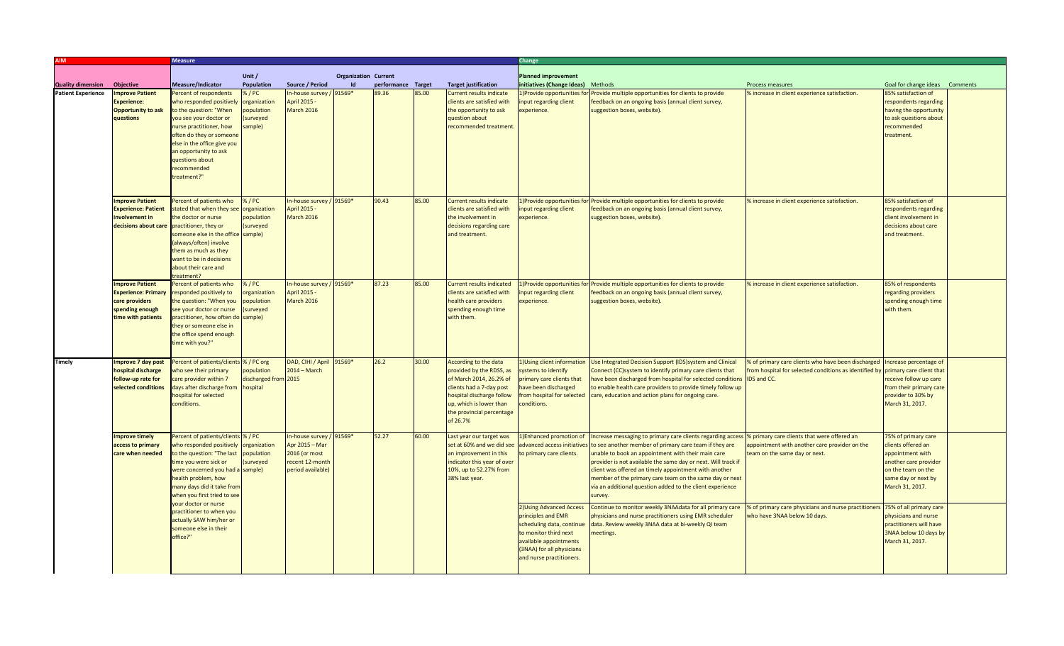|                           |                            | <b>Measure</b>                         |                      |                          |                             |                    |       |                                  | Change                             |                                                                                                          |                                                                                 |                                |  |  |
|---------------------------|----------------------------|----------------------------------------|----------------------|--------------------------|-----------------------------|--------------------|-------|----------------------------------|------------------------------------|----------------------------------------------------------------------------------------------------------|---------------------------------------------------------------------------------|--------------------------------|--|--|
|                           |                            |                                        |                      |                          |                             |                    |       |                                  |                                    |                                                                                                          |                                                                                 |                                |  |  |
|                           |                            |                                        | Unit /               |                          | <b>Organization Current</b> |                    |       |                                  | <b>Planned improvement</b>         |                                                                                                          |                                                                                 |                                |  |  |
| <b>Quality dimension</b>  | Objective                  | <b>Measure/Indicator</b>               | Population           | Source / Period          | Id                          | performance Target |       | <b>Target justification</b>      | initiatives (Change Ideas) Methods |                                                                                                          | Process measures                                                                | Goal for change ideas Comments |  |  |
| <b>Patient Experience</b> | <b>Improve Patient</b>     | Percent of respondents                 | %/PC                 | n-house survey / 91569*  |                             | 39.36              | 85.00 | <b>Current results indicate</b>  | Provide opportunities for          | rovide multiple opportunities for clients to provide                                                     | % increase in client experience satisfaction.                                   | 85% satisfaction of            |  |  |
|                           | Experience:                | who responded positively               | organization         | April 2015 -             |                             |                    |       | clients are satisfied with       | nput regarding client              | feedback on an ongoing basis (annual client survey,                                                      |                                                                                 | respondents regarding          |  |  |
|                           | <b>Opportunity to ask</b>  | o the question: "When                  | population           | March 2016               |                             |                    |       | the opportunity to ask           | experience.                        | suggestion boxes, website).                                                                              |                                                                                 | having the opportunity         |  |  |
|                           | questions                  | you see your doctor or                 | (surveyed            |                          |                             |                    |       | question about                   |                                    |                                                                                                          |                                                                                 | to ask questions about         |  |  |
|                           |                            | nurse practitioner, how                | sample)              |                          |                             |                    |       | recommended treatment.           |                                    |                                                                                                          |                                                                                 | recommended                    |  |  |
|                           |                            | often do they or someone               |                      |                          |                             |                    |       |                                  |                                    |                                                                                                          |                                                                                 | treatment.                     |  |  |
|                           |                            | else in the office give you            |                      |                          |                             |                    |       |                                  |                                    |                                                                                                          |                                                                                 |                                |  |  |
|                           |                            | an opportunity to ask                  |                      |                          |                             |                    |       |                                  |                                    |                                                                                                          |                                                                                 |                                |  |  |
|                           |                            | questions about                        |                      |                          |                             |                    |       |                                  |                                    |                                                                                                          |                                                                                 |                                |  |  |
|                           |                            | recommended                            |                      |                          |                             |                    |       |                                  |                                    |                                                                                                          |                                                                                 |                                |  |  |
|                           |                            | treatment?"                            |                      |                          |                             |                    |       |                                  |                                    |                                                                                                          |                                                                                 |                                |  |  |
|                           |                            |                                        |                      |                          |                             |                    |       |                                  |                                    |                                                                                                          |                                                                                 |                                |  |  |
|                           |                            |                                        |                      |                          |                             |                    |       |                                  |                                    |                                                                                                          |                                                                                 |                                |  |  |
|                           | <b>Improve Patient</b>     | Percent of patients who                | %/PC                 | In-house survey / 91569* |                             | 90.43              | 85.00 | <b>Current results indicate</b>  | .)Provide opportunities for        | Provide multiple opportunities for clients to provide                                                    | % increase in client experience satisfaction.                                   | 85% satisfaction of            |  |  |
|                           | <b>Experience: Patient</b> | stated that when they see organization |                      | April 2015 -             |                             |                    |       | clients are satisfied with       | nput regarding client              | feedback on an ongoing basis (annual client survey,                                                      |                                                                                 | respondents regarding          |  |  |
|                           | involvement in             | the doctor or nurse                    | population           | <b>March 2016</b>        |                             |                    |       | the involvement in               | experience.                        | suggestion boxes, website).                                                                              |                                                                                 | client involvement in          |  |  |
|                           | decisions about care       | practitioner, they or                  | (surveyed            |                          |                             |                    |       | decisions regarding care         |                                    |                                                                                                          |                                                                                 | decisions about care           |  |  |
|                           |                            | omeone else in the office sample)      |                      |                          |                             |                    |       | and treatment.                   |                                    |                                                                                                          |                                                                                 | and treatment.                 |  |  |
|                           |                            | (always/often) involve                 |                      |                          |                             |                    |       |                                  |                                    |                                                                                                          |                                                                                 |                                |  |  |
|                           |                            | them as much as they                   |                      |                          |                             |                    |       |                                  |                                    |                                                                                                          |                                                                                 |                                |  |  |
|                           |                            | want to be in decisions                |                      |                          |                             |                    |       |                                  |                                    |                                                                                                          |                                                                                 |                                |  |  |
|                           |                            | about their care and                   |                      |                          |                             |                    |       |                                  |                                    |                                                                                                          |                                                                                 |                                |  |  |
|                           |                            | reatment?                              |                      |                          |                             |                    |       |                                  |                                    |                                                                                                          |                                                                                 |                                |  |  |
|                           | <b>Improve Patient</b>     | Percent of patients who                | 6/PC                 | In-house survey / 91569* |                             | 87.23              | 85.00 | <b>Current results indicated</b> |                                    | )Provide opportunities for Provide multiple opportunities for clients to provide                         | % increase in client experience satisfaction.                                   | 85% of respondents             |  |  |
|                           | Experience: Primary        | responded positively to                | rganization          | April 2015 -             |                             |                    |       | clients are satisfied with       | nput regarding client              | feedback on an ongoing basis (annual client survey,                                                      |                                                                                 | regarding providers            |  |  |
|                           | care providers             | the question: "When you                | population           | <b>March 2016</b>        |                             |                    |       | health care providers            | experience.                        | suggestion boxes, website).                                                                              |                                                                                 | spending enough time           |  |  |
|                           | spending enough            | see your doctor or nurse               | (surveyed            |                          |                             |                    |       | spending enough time             |                                    |                                                                                                          |                                                                                 | with them.                     |  |  |
|                           | time with patients         | practitioner, how often do sample)     |                      |                          |                             |                    |       | with them.                       |                                    |                                                                                                          |                                                                                 |                                |  |  |
|                           |                            | they or someone else in                |                      |                          |                             |                    |       |                                  |                                    |                                                                                                          |                                                                                 |                                |  |  |
|                           |                            | the office spend enough                |                      |                          |                             |                    |       |                                  |                                    |                                                                                                          |                                                                                 |                                |  |  |
|                           |                            | time with you?"                        |                      |                          |                             |                    |       |                                  |                                    |                                                                                                          |                                                                                 |                                |  |  |
|                           |                            |                                        |                      |                          |                             |                    |       |                                  |                                    |                                                                                                          |                                                                                 |                                |  |  |
| <b>Timely</b>             | Improve 7 day post         | Percent of patients/client             | % / PC org           | DAD, CIHI / April 91569* |                             | 26.2               | 30.00 | According to the data            | 1) Using client information        | Use Integrated Decision Support (IDS) system and Clinical                                                | % of primary care clients who have been discharged                              | Increase percentage of         |  |  |
|                           | hospital discharge         | who see their primary                  | population           | $2014 - March$           |                             |                    |       | provided by the RDSS, as         | ystems to identify                 | Connect (CC)system to identify primary care clients that                                                 | from hospital for selected conditions as identified by primary care client that |                                |  |  |
|                           | follow-up rate for         | care provider within 7                 | discharged from 2015 |                          |                             |                    |       | of March 2014, 26.2% of          | primary care clients that          | have been discharged from hospital for selected conditions                                               | IDS and CC.                                                                     | receive follow up care         |  |  |
|                           | selected conditions        | days after discharge from              | hospital             |                          |                             |                    |       | clients had a 7-day post         | ave been discharged                | to enable health care providers to provide timely follow up                                              |                                                                                 | from their primary care        |  |  |
|                           |                            | hospital for selected                  |                      |                          |                             |                    |       | hospital discharge follow        | from hospital for selected         | care, education and action plans for ongoing care.                                                       |                                                                                 | provider to 30% by             |  |  |
|                           |                            | conditions.                            |                      |                          |                             |                    |       | up, which is lower than          | conditions.                        |                                                                                                          |                                                                                 | March 31, 2017.                |  |  |
|                           |                            |                                        |                      |                          |                             |                    |       | the provincial percentage        |                                    |                                                                                                          |                                                                                 |                                |  |  |
|                           |                            |                                        |                      |                          |                             |                    |       | of 26.7%                         |                                    |                                                                                                          |                                                                                 |                                |  |  |
|                           |                            |                                        |                      |                          |                             |                    |       |                                  |                                    |                                                                                                          |                                                                                 |                                |  |  |
|                           | <b>Improve timely</b>      | Percent of patients/clients % / PC     |                      | In-house survey / 91569* |                             | 52.27              | 60.00 | Last year our target was         | Enhanced promotion of              | Increase messaging to primary care clients regarding access  % primary care clients that were offered an |                                                                                 | 75% of primary care            |  |  |
|                           | access to primary          | who responded positively               | organization         | Apr 2015 - Mar           |                             |                    |       | set at 60% and we did see        |                                    | advanced access initiatives to see another member of primary care team if they are                       | appointment with another care provider on the                                   | clients offered an             |  |  |
|                           | care when needed           | to the question: "The last             | population           | 2016 (or most            |                             |                    |       | an improvement in this           | o primary care clients.            | unable to book an appointment with their main care                                                       | team on the same day or next.                                                   | appointment with               |  |  |
|                           |                            | time you were sick or                  | <i>(surveyed</i>     | recent 12-month          |                             |                    |       | indicator this year of over      |                                    | provider is not available the same day or next. Will track if                                            |                                                                                 | another care provider          |  |  |
|                           |                            | were concerned you had a sample)       |                      | period available)        |                             |                    |       | 10%, up to 52.27% from           |                                    | client was offered an timely appointment with another                                                    |                                                                                 | on the team on the             |  |  |
|                           |                            | health problem, how                    |                      |                          |                             |                    |       | 38% last year.                   |                                    | member of the primary care team on the same day or next                                                  |                                                                                 | same day or next by            |  |  |
|                           |                            | many days did it take from             |                      |                          |                             |                    |       |                                  |                                    | via an additional question added to the client experience                                                |                                                                                 | March 31, 2017.                |  |  |
|                           |                            | when you first tried to see            |                      |                          |                             |                    |       |                                  |                                    | survey.                                                                                                  |                                                                                 |                                |  |  |
|                           |                            | your doctor or nurse                   |                      |                          |                             |                    |       |                                  |                                    |                                                                                                          |                                                                                 |                                |  |  |
|                           |                            | practitioner to when you               |                      |                          |                             |                    |       |                                  | 2) Using Advanced Access           | Continue to monitor weekly 3NAAdata for all primary care                                                 | % of primary care physicians and nurse practitioners                            | 75% of all primary care        |  |  |
|                           |                            | actually SAW him/her or                |                      |                          |                             |                    |       |                                  | principles and EMR                 | physicians and nurse practitioners using EMR scheduler                                                   | who have 3NAA below 10 days.                                                    | physicians and nurse           |  |  |
|                           |                            | someone else in their                  |                      |                          |                             |                    |       |                                  | scheduling data, continue          | data. Review weekly 3NAA data at bi-weekly QI team                                                       |                                                                                 | practitioners will have        |  |  |
|                           |                            | office?"                               |                      |                          |                             |                    |       |                                  | to monitor third next              | neetings.                                                                                                |                                                                                 | 3NAA below 10 days by          |  |  |
|                           |                            |                                        |                      |                          |                             |                    |       |                                  | available appointments             |                                                                                                          |                                                                                 | March 31, 2017.                |  |  |
|                           |                            |                                        |                      |                          |                             |                    |       |                                  | (3NAA) for all physicians          |                                                                                                          |                                                                                 |                                |  |  |
|                           |                            |                                        |                      |                          |                             |                    |       |                                  | and nurse practitioners.           |                                                                                                          |                                                                                 |                                |  |  |
|                           |                            |                                        |                      |                          |                             |                    |       |                                  |                                    |                                                                                                          |                                                                                 |                                |  |  |